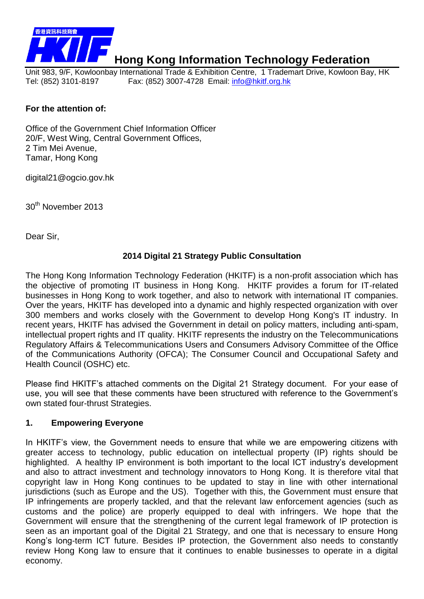

# **Hong Kong Information Technology Federation**

Unit 983, 9/F, Kowloonbay International Trade & Exhibition Centre, 1 Trademart Drive, Kowloon Bay, HK Tel: (852) 3101-8197 Fax: (852) 3007-4728 Email: [info@hkitf.org.hk](mailto:info@hkitf.org.hk)

#### **For the attention of:**

Office of the Government Chief Information Officer 20/F, West Wing, Central Government Offices, 2 Tim Mei Avenue, Tamar, Hong Kong

digital21@ogcio.gov.hk

30th November 2013

Dear Sir,

#### **2014 Digital 21 Strategy Public Consultation**

The Hong Kong Information Technology Federation (HKITF) is a non-profit association which has the objective of promoting IT business in Hong Kong. HKITF provides a forum for IT-related businesses in Hong Kong to work together, and also to network with international IT companies. Over the years, HKITF has developed into a dynamic and highly respected organization with over 300 members and works closely with the Government to develop Hong Kong's IT industry. In recent years, HKITF has advised the Government in detail on policy matters, including anti-spam, intellectual propert rights and IT quality. HKITF represents the industry on the Telecommunications Regulatory Affairs & Telecommunications Users and Consumers Advisory Committee of the Office of the Communications Authority (OFCA); The Consumer Council and Occupational Safety and Health Council (OSHC) etc.

Please find HKITF's attached comments on the Digital 21 Strategy document. For your ease of use, you will see that these comments have been structured with reference to the Government's own stated four-thrust Strategies.

#### **1. Empowering Everyone**

In HKITF's view, the Government needs to ensure that while we are empowering citizens with greater access to technology, public education on intellectual property (IP) rights should be highlighted. A healthy IP environment is both important to the local ICT industry's development and also to attract investment and technology innovators to Hong Kong. It is therefore vital that copyright law in Hong Kong continues to be updated to stay in line with other international jurisdictions (such as Europe and the US). Together with this, the Government must ensure that IP infringements are properly tackled, and that the relevant law enforcement agencies (such as customs and the police) are properly equipped to deal with infringers. We hope that the Government will ensure that the strengthening of the current legal framework of IP protection is seen as an important goal of the Digital 21 Strategy, and one that is necessary to ensure Hong Kong's long-term ICT future. Besides IP protection, the Government also needs to constantly review Hong Kong law to ensure that it continues to enable businesses to operate in a digital economy.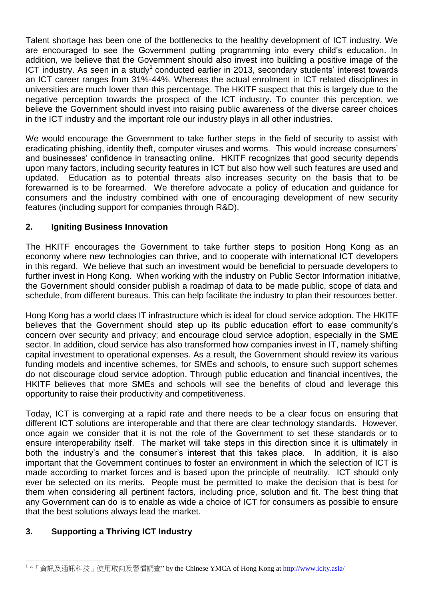Talent shortage has been one of the bottlenecks to the healthy development of ICT industry. We are encouraged to see the Government putting programming into every child's education. In addition, we believe that the Government should also invest into building a positive image of the ICT industry. As seen in a study<sup>1</sup> conducted earlier in 2013, secondary students' interest towards an ICT career ranges from 31%-44%. Whereas the actual enrolment in ICT related disciplines in universities are much lower than this percentage. The HKITF suspect that this is largely due to the negative perception towards the prospect of the ICT industry. To counter this perception, we believe the Government should invest into raising public awareness of the diverse career choices in the ICT industry and the important role our industry plays in all other industries.

We would encourage the Government to take further steps in the field of security to assist with eradicating phishing, identity theft, computer viruses and worms. This would increase consumers' and businesses' confidence in transacting online. HKITF recognizes that good security depends upon many factors, including security features in ICT but also how well such features are used and updated. Education as to potential threats also increases security on the basis that to be forewarned is to be forearmed. We therefore advocate a policy of education and guidance for consumers and the industry combined with one of encouraging development of new security features (including support for companies through R&D).

## **2. Igniting Business Innovation**

The HKITF encourages the Government to take further steps to position Hong Kong as an economy where new technologies can thrive, and to cooperate with international ICT developers in this regard. We believe that such an investment would be beneficial to persuade developers to further invest in Hong Kong. When working with the industry on Public Sector Information initiative, the Government should consider publish a roadmap of data to be made public, scope of data and schedule, from different bureaus. This can help facilitate the industry to plan their resources better.

Hong Kong has a world class IT infrastructure which is ideal for cloud service adoption. The HKITF believes that the Government should step up its public education effort to ease community's concern over security and privacy; and encourage cloud service adoption, especially in the SME sector. In addition, cloud service has also transformed how companies invest in IT, namely shifting capital investment to operational expenses. As a result, the Government should review its various funding models and incentive schemes, for SMEs and schools, to ensure such support schemes do not discourage cloud service adoption. Through public education and financial incentives, the HKITF believes that more SMEs and schools will see the benefits of cloud and leverage this opportunity to raise their productivity and competitiveness.

Today, ICT is converging at a rapid rate and there needs to be a clear focus on ensuring that different ICT solutions are interoperable and that there are clear technology standards. However, once again we consider that it is not the role of the Government to set these standards or to ensure interoperability itself. The market will take steps in this direction since it is ultimately in both the industry's and the consumer's interest that this takes place. In addition, it is also important that the Government continues to foster an environment in which the selection of ICT is made according to market forces and is based upon the principle of neutrality. ICT should only ever be selected on its merits. People must be permitted to make the decision that is best for them when considering all pertinent factors, including price, solution and fit. The best thing that any Government can do is to enable as wide a choice of ICT for consumers as possible to ensure that the best solutions always lead the market.

## **3. Supporting a Thriving ICT Industry**

<sup>1</sup> "「資訊及通訊科技」使用取向及習慣調查" by the Chinese YMCA of Hong Kong at<http://www.icity.asia/>